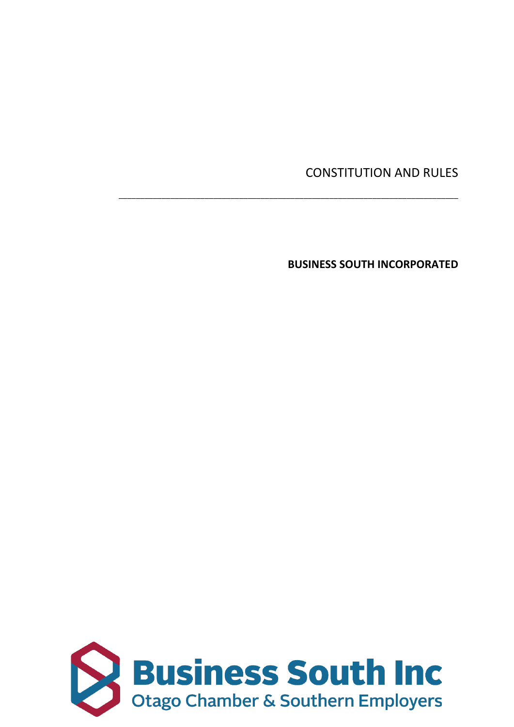# CONSTITUTION AND RULES

**BUSINESS SOUTH INCORPORATED**

\_\_\_\_\_\_\_\_\_\_\_\_\_\_\_\_\_\_\_\_\_\_\_\_\_\_\_\_\_\_\_\_\_\_\_\_\_\_\_\_\_\_\_\_\_\_\_\_\_\_\_\_\_\_\_\_\_\_\_\_\_\_\_\_\_\_\_\_\_\_\_\_\_\_\_\_\_\_\_

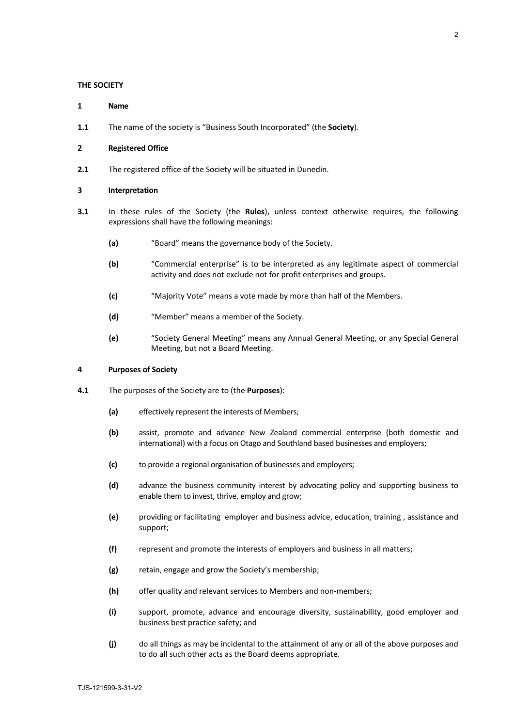#### **THE SOCIETY**

- **1 Name**
- **1.1** The name of the society is "Business South Incorporated" (the **Society**).

#### **2 Registered Office**

**2.1** The registered office of the Society will be situated in Dunedin.

#### **3 Interpretation**

- **3.1** In these rules of the Society (the **Rules**), unless context otherwise requires, the following expressions shall have the following meanings:
	- **(a)** "Board" means the governance body of the Society.
	- **(b)** "Commercial enterprise" is to be interpreted as any legitimate aspect of commercial activity and does not exclude not for profit enterprises and groups.
	- **(c)** "Majority Vote" means a vote made by more than half of the Members.
	- **(d)** "Member" means a member of the Society.
	- **(e)** "Society General Meeting" means any Annual General Meeting, or any Special General Meeting, but not a Board Meeting.

## **4 Purposes of Society**

- **4.1** The purposes of the Society are to (the **Purposes**):
	- **(a)** effectively represent the interests of Members;
	- **(b)** assist, promote and advance New Zealand commercial enterprise (both domestic and international) with a focus on Otago and Southland based businesses and employers;
	- **(c)** to provide a regional organisation of businesses and employers;
	- **(d)** advance the business community interest by advocating policy and supporting business to enable them to invest, thrive, employ and grow;
	- **(e)** providing or facilitating employer and business advice, education, training , assistance and support;
	- **(f)** represent and promote the interests of employers and business in all matters;
	- **(g)** retain, engage and grow the Society's membership;
	- **(h)** offer quality and relevant services to Members and non-members;
	- **(i)** support, promote, advance and encourage diversity, sustainability, good employer and business best practice safety; and
	- **(j)** do all things as may be incidental to the attainment of any or all of the above purposes and to do all such other acts as the Board deems appropriate.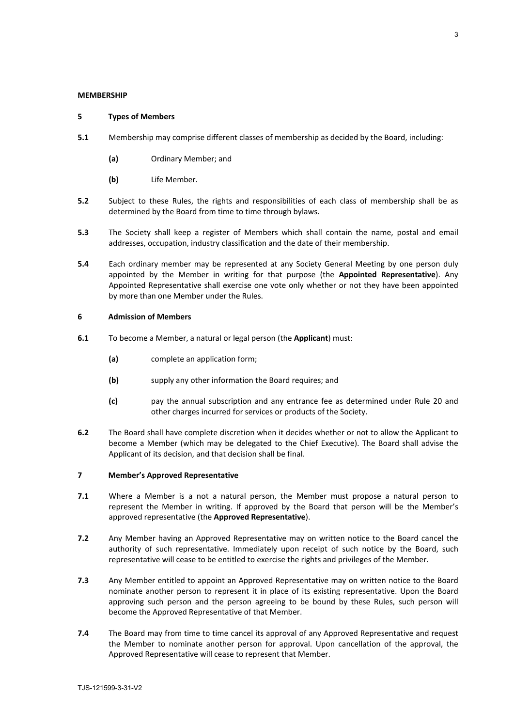#### **MEMBERSHIP**

# **5 Types of Members**

- **5.1** Membership may comprise different classes of membership as decided by the Board, including:
	- **(a)** Ordinary Member; and
	- **(b)** Life Member.
- **5.2** Subject to these Rules, the rights and responsibilities of each class of membership shall be as determined by the Board from time to time through bylaws.
- **5.3** The Society shall keep a register of Members which shall contain the name, postal and email addresses, occupation, industry classification and the date of their membership.
- **5.4** Each ordinary member may be represented at any Society General Meeting by one person duly appointed by the Member in writing for that purpose (the **Appointed Representative**). Any Appointed Representative shall exercise one vote only whether or not they have been appointed by more than one Member under the Rules.

# **6 Admission of Members**

- **6.1** To become a Member, a natural or legal person (the **Applicant**) must:
	- **(a)** complete an application form;
	- **(b)** supply any other information the Board requires; and
	- **(c)** pay the annual subscription and any entrance fee as determined under Rule 20 and other charges incurred for services or products of the Society.
- **6.2** The Board shall have complete discretion when it decides whether or not to allow the Applicant to become a Member (which may be delegated to the Chief Executive). The Board shall advise the Applicant of its decision, and that decision shall be final.

# **7 Member's Approved Representative**

- **7.1** Where a Member is a not a natural person, the Member must propose a natural person to represent the Member in writing. If approved by the Board that person will be the Member's approved representative (the **Approved Representative**).
- **7.2** Any Member having an Approved Representative may on written notice to the Board cancel the authority of such representative. Immediately upon receipt of such notice by the Board, such representative will cease to be entitled to exercise the rights and privileges of the Member.
- **7.3** Any Member entitled to appoint an Approved Representative may on written notice to the Board nominate another person to represent it in place of its existing representative. Upon the Board approving such person and the person agreeing to be bound by these Rules, such person will become the Approved Representative of that Member.
- **7.4** The Board may from time to time cancel its approval of any Approved Representative and request the Member to nominate another person for approval. Upon cancellation of the approval, the Approved Representative will cease to represent that Member.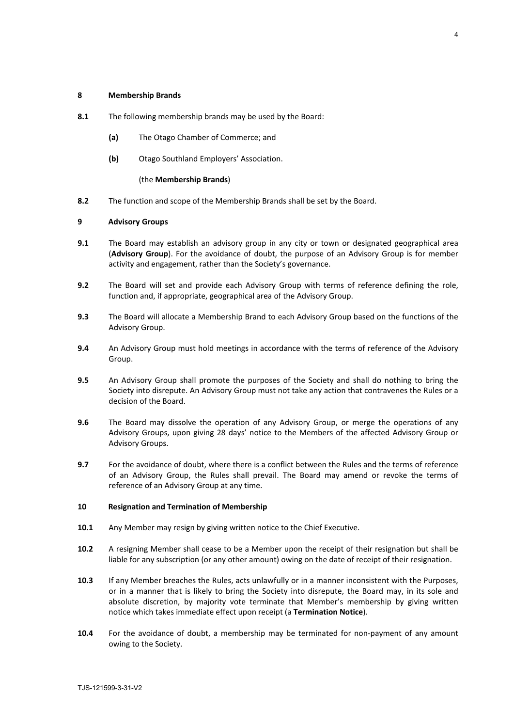#### **8 Membership Brands**

- **8.1** The following membership brands may be used by the Board:
	- **(a)** The Otago Chamber of Commerce; and
	- **(b)** Otago Southland Employers' Association.

#### (the **Membership Brands**)

**8.2** The function and scope of the Membership Brands shall be set by the Board.

# **9 Advisory Groups**

- **9.1** The Board may establish an advisory group in any city or town or designated geographical area (**Advisory Group**). For the avoidance of doubt, the purpose of an Advisory Group is for member activity and engagement, rather than the Society's governance.
- **9.2** The Board will set and provide each Advisory Group with terms of reference defining the role, function and, if appropriate, geographical area of the Advisory Group.
- **9.3** The Board will allocate a Membership Brand to each Advisory Group based on the functions of the Advisory Group.
- **9.4** An Advisory Group must hold meetings in accordance with the terms of reference of the Advisory Group.
- **9.5** An Advisory Group shall promote the purposes of the Society and shall do nothing to bring the Society into disrepute. An Advisory Group must not take any action that contravenes the Rules or a decision of the Board.
- **9.6** The Board may dissolve the operation of any Advisory Group, or merge the operations of any Advisory Groups, upon giving 28 days' notice to the Members of the affected Advisory Group or Advisory Groups.
- **9.7** For the avoidance of doubt, where there is a conflict between the Rules and the terms of reference of an Advisory Group, the Rules shall prevail. The Board may amend or revoke the terms of reference of an Advisory Group at any time.

#### **10 Resignation and Termination of Membership**

- **10.1** Any Member may resign by giving written notice to the Chief Executive.
- **10.2** A resigning Member shall cease to be a Member upon the receipt of their resignation but shall be liable for any subscription (or any other amount) owing on the date of receipt of their resignation.
- **10.3** If any Member breaches the Rules, acts unlawfully or in a manner inconsistent with the Purposes, or in a manner that is likely to bring the Society into disrepute, the Board may, in its sole and absolute discretion, by majority vote terminate that Member's membership by giving written notice which takes immediate effect upon receipt (a **Termination Notice**).
- **10.4** For the avoidance of doubt, a membership may be terminated for non-payment of any amount owing to the Society.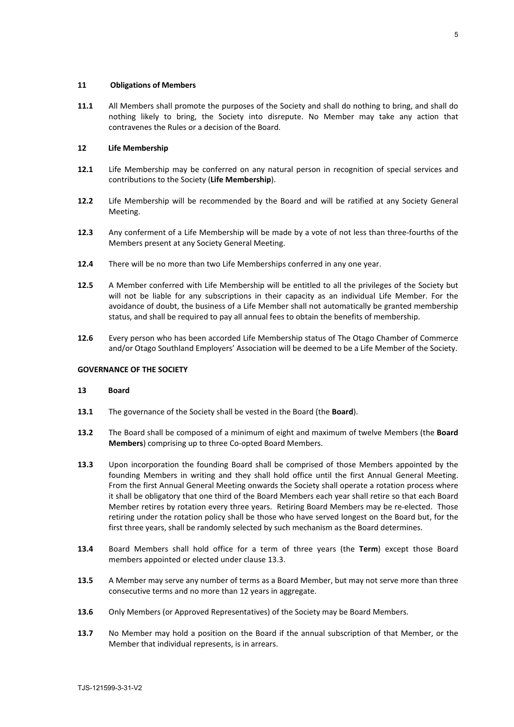## **11 Obligations of Members**

**11.1** All Members shall promote the purposes of the Society and shall do nothing to bring, and shall do nothing likely to bring, the Society into disrepute. No Member may take any action that contravenes the Rules or a decision of the Board.

# **12 Life Membership**

- **12.1** Life Membership may be conferred on any natural person in recognition of special services and contributions to the Society (**Life Membership**).
- **12.2** Life Membership will be recommended by the Board and will be ratified at any Society General Meeting.
- **12.3** Any conferment of a Life Membership will be made by a vote of not less than three-fourths of the Members present at any Society General Meeting.
- **12.4** There will be no more than two Life Memberships conferred in any one year.
- **12.5** A Member conferred with Life Membership will be entitled to all the privileges of the Society but will not be liable for any subscriptions in their capacity as an individual Life Member. For the avoidance of doubt, the business of a Life Member shall not automatically be granted membership status, and shall be required to pay all annual fees to obtain the benefits of membership.
- **12.6** Every person who has been accorded Life Membership status of The Otago Chamber of Commerce and/or Otago Southland Employers' Association will be deemed to be a Life Member of the Society.

# **GOVERNANCE OF THE SOCIETY**

#### **13 Board**

- **13.1** The governance of the Society shall be vested in the Board (the **Board**).
- **13.2** The Board shall be composed of a minimum of eight and maximum of twelve Members (the **Board Members**) comprising up to three Co-opted Board Members.
- **13.3** Upon incorporation the founding Board shall be comprised of those Members appointed by the founding Members in writing and they shall hold office until the first Annual General Meeting. From the first Annual General Meeting onwards the Society shall operate a rotation process where it shall be obligatory that one third of the Board Members each year shall retire so that each Board Member retires by rotation every three years. Retiring Board Members may be re-elected. Those retiring under the rotation policy shall be those who have served longest on the Board but, for the first three years, shall be randomly selected by such mechanism as the Board determines.
- **13.4** Board Members shall hold office for a term of three years (the **Term**) except those Board members appointed or elected under clause 13.3.
- **13.5** A Member may serve any number of terms as a Board Member, but may not serve more than three consecutive terms and no more than 12 years in aggregate.
- **13.6** Only Members (or Approved Representatives) of the Society may be Board Members.
- **13.7** No Member may hold a position on the Board if the annual subscription of that Member, or the Member that individual represents, is in arrears.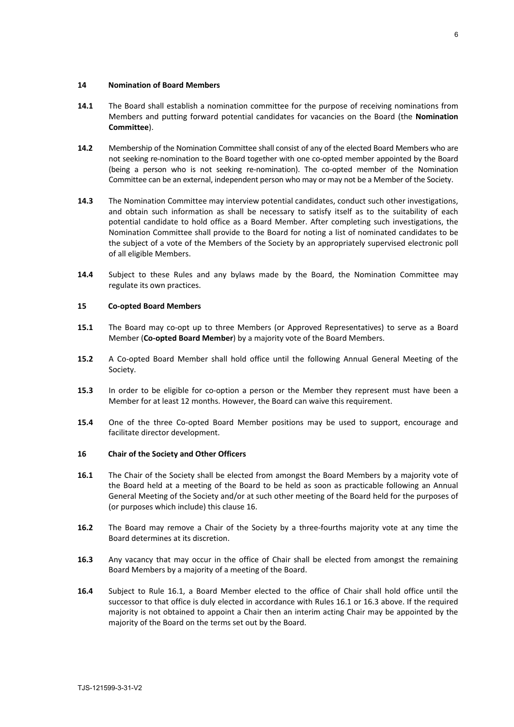# **14 Nomination of Board Members**

- **14.1** The Board shall establish a nomination committee for the purpose of receiving nominations from Members and putting forward potential candidates for vacancies on the Board (the **Nomination Committee**).
- **14.2** Membership of the Nomination Committee shall consist of any of the elected Board Members who are not seeking re-nomination to the Board together with one co-opted member appointed by the Board (being a person who is not seeking re-nomination). The co-opted member of the Nomination Committee can be an external, independent person who may or may not be a Member of the Society.
- **14.3** The Nomination Committee may interview potential candidates, conduct such other investigations, and obtain such information as shall be necessary to satisfy itself as to the suitability of each potential candidate to hold office as a Board Member. After completing such investigations, the Nomination Committee shall provide to the Board for noting a list of nominated candidates to be the subject of a vote of the Members of the Society by an appropriately supervised electronic poll of all eligible Members.
- **14.4** Subject to these Rules and any bylaws made by the Board, the Nomination Committee may regulate its own practices.

## **15 Co-opted Board Members**

- **15.1** The Board may co-opt up to three Members (or Approved Representatives) to serve as a Board Member (**Co-opted Board Member**) by a majority vote of the Board Members.
- **15.2** A Co-opted Board Member shall hold office until the following Annual General Meeting of the Society.
- **15.3** In order to be eligible for co-option a person or the Member they represent must have been a Member for at least 12 months. However, the Board can waive this requirement.
- **15.4** One of the three Co-opted Board Member positions may be used to support, encourage and facilitate director development.

#### **16 Chair of the Society and Other Officers**

- **16.1** The Chair of the Society shall be elected from amongst the Board Members by a majority vote of the Board held at a meeting of the Board to be held as soon as practicable following an Annual General Meeting of the Society and/or at such other meeting of the Board held for the purposes of (or purposes which include) this clause 16.
- **16.2** The Board may remove a Chair of the Society by a three-fourths majority vote at any time the Board determines at its discretion.
- **16.3** Any vacancy that may occur in the office of Chair shall be elected from amongst the remaining Board Members by a majority of a meeting of the Board.
- **16.4** Subject to Rule 16.1, a Board Member elected to the office of Chair shall hold office until the successor to that office is duly elected in accordance with Rules 16.1 or 16.3 above. If the required majority is not obtained to appoint a Chair then an interim acting Chair may be appointed by the majority of the Board on the terms set out by the Board.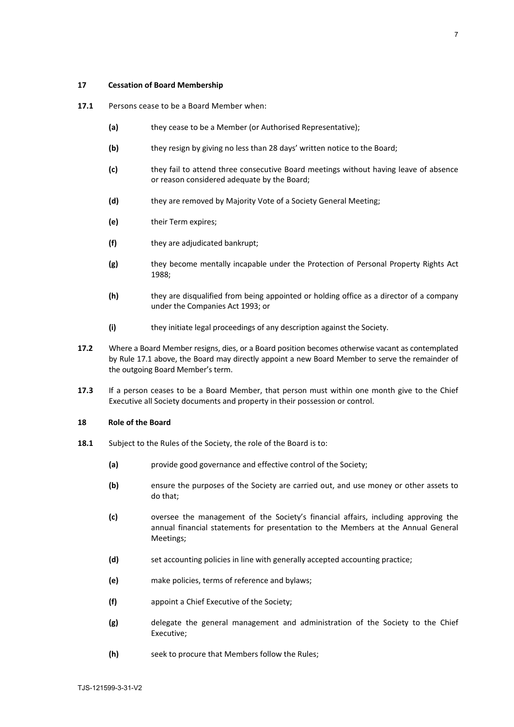## **17 Cessation of Board Membership**

- **17.1** Persons cease to be a Board Member when:
	- **(a)** they cease to be a Member (or Authorised Representative);
	- **(b)** they resign by giving no less than 28 days' written notice to the Board;
	- **(c)** they fail to attend three consecutive Board meetings without having leave of absence or reason considered adequate by the Board;
	- **(d)** they are removed by Majority Vote of a Society General Meeting;
	- **(e)** their Term expires;
	- **(f)** they are adjudicated bankrupt;
	- **(g)** they become mentally incapable under the Protection of Personal Property Rights Act 1988;
	- **(h)** they are disqualified from being appointed or holding office as a director of a company under the Companies Act 1993; or
	- **(i)** they initiate legal proceedings of any description against the Society.
- **17.2** Where a Board Member resigns, dies, or a Board position becomes otherwise vacant as contemplated by Rule 17.1 above, the Board may directly appoint a new Board Member to serve the remainder of the outgoing Board Member's term.
- **17.3** If a person ceases to be a Board Member, that person must within one month give to the Chief Executive all Society documents and property in their possession or control.

#### **18 Role of the Board**

- **18.1** Subject to the Rules of the Society, the role of the Board is to:
	- **(a)** provide good governance and effective control of the Society;
	- **(b)** ensure the purposes of the Society are carried out, and use money or other assets to do that;
	- **(c)** oversee the management of the Society's financial affairs, including approving the annual financial statements for presentation to the Members at the Annual General Meetings;
	- **(d)** set accounting policies in line with generally accepted accounting practice;
	- **(e)** make policies, terms of reference and bylaws;
	- **(f)** appoint a Chief Executive of the Society;
	- **(g)** delegate the general management and administration of the Society to the Chief Executive;
	- **(h)** seek to procure that Members follow the Rules;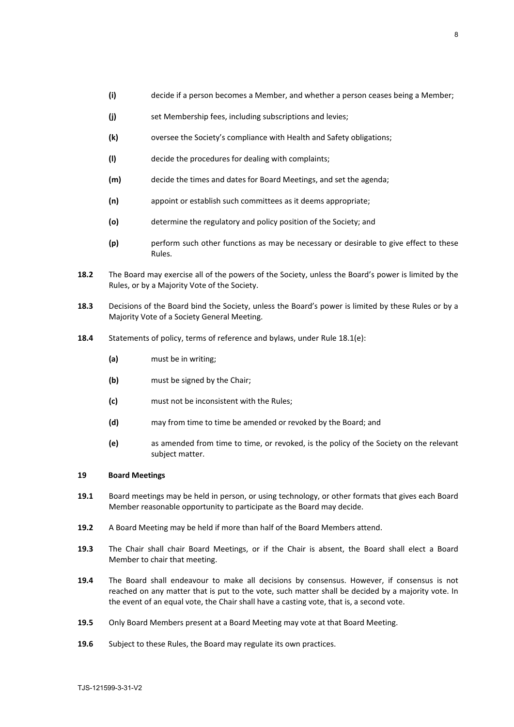- **(i)** decide if a person becomes a Member, and whether a person ceases being a Member;
- **(j)** set Membership fees, including subscriptions and levies;
- **(k)** oversee the Society's compliance with Health and Safety obligations;
- **(l)** decide the procedures for dealing with complaints;
- **(m)** decide the times and dates for Board Meetings, and set the agenda;
- **(n)** appoint or establish such committees as it deems appropriate;
- **(o)** determine the regulatory and policy position of the Society; and
- **(p)** perform such other functions as may be necessary or desirable to give effect to these Rules.
- **18.2** The Board may exercise all of the powers of the Society, unless the Board's power is limited by the Rules, or by a Majority Vote of the Society.
- **18.3** Decisions of the Board bind the Society, unless the Board's power is limited by these Rules or by a Majority Vote of a Society General Meeting.
- **18.4** Statements of policy, terms of reference and bylaws, under Rule 18.1(e):
	- **(a)** must be in writing;
	- **(b)** must be signed by the Chair;
	- **(c)** must not be inconsistent with the Rules;
	- **(d)** may from time to time be amended or revoked by the Board; and
	- **(e)** as amended from time to time, or revoked, is the policy of the Society on the relevant subject matter.

## **19 Board Meetings**

- **19.1** Board meetings may be held in person, or using technology, or other formats that gives each Board Member reasonable opportunity to participate as the Board may decide.
- **19.2** A Board Meeting may be held if more than half of the Board Members attend.
- **19.3** The Chair shall chair Board Meetings, or if the Chair is absent, the Board shall elect a Board Member to chair that meeting.
- **19.4** The Board shall endeavour to make all decisions by consensus. However, if consensus is not reached on any matter that is put to the vote, such matter shall be decided by a majority vote. In the event of an equal vote, the Chair shall have a casting vote, that is, a second vote.
- **19.5** Only Board Members present at a Board Meeting may vote at that Board Meeting.
- **19.6** Subject to these Rules, the Board may regulate its own practices.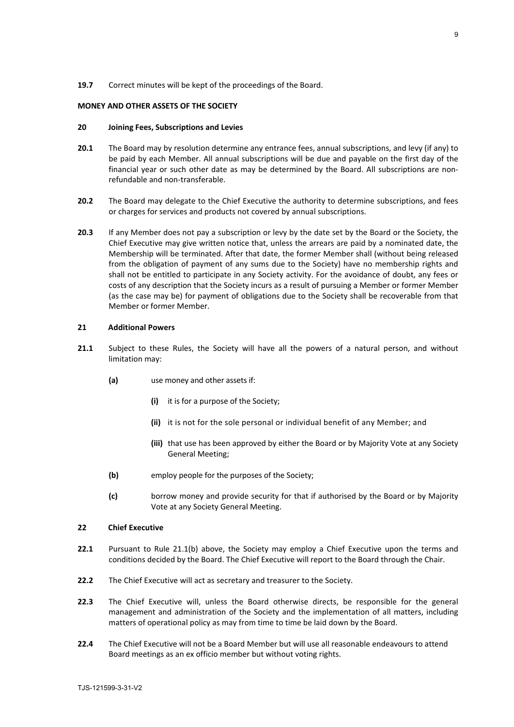## **19.7** Correct minutes will be kept of the proceedings of the Board.

## **MONEY AND OTHER ASSETS OF THE SOCIETY**

# **20 Joining Fees, Subscriptions and Levies**

- **20.1** The Board may by resolution determine any entrance fees, annual subscriptions, and levy (if any) to be paid by each Member. All annual subscriptions will be due and payable on the first day of the financial year or such other date as may be determined by the Board. All subscriptions are nonrefundable and non-transferable.
- **20.2** The Board may delegate to the Chief Executive the authority to determine subscriptions, and fees or charges for services and products not covered by annual subscriptions.
- **20.3** If any Member does not pay a subscription or levy by the date set by the Board or the Society, the Chief Executive may give written notice that, unless the arrears are paid by a nominated date, the Membership will be terminated. After that date, the former Member shall (without being released from the obligation of payment of any sums due to the Society) have no membership rights and shall not be entitled to participate in any Society activity. For the avoidance of doubt, any fees or costs of any description that the Society incurs as a result of pursuing a Member or former Member (as the case may be) for payment of obligations due to the Society shall be recoverable from that Member or former Member.

# **21 Additional Powers**

- **21.1** Subject to these Rules, the Society will have all the powers of a natural person, and without limitation may:
	- **(a)** use money and other assets if:
		- **(i)** it is for a purpose of the Society;
		- **(ii)** it is not for the sole personal or individual benefit of any Member; and
		- **(iii)** that use has been approved by either the Board or by Majority Vote at any Society General Meeting;
	- **(b)** employ people for the purposes of the Society;
	- **(c)** borrow money and provide security for that if authorised by the Board or by Majority Vote at any Society General Meeting.

# **22 Chief Executive**

- **22.1** Pursuant to Rule 21.1(b) above, the Society may employ a Chief Executive upon the terms and conditions decided by the Board. The Chief Executive will report to the Board through the Chair.
- **22.2** The Chief Executive will act as secretary and treasurer to the Society.
- **22.3** The Chief Executive will, unless the Board otherwise directs, be responsible for the general management and administration of the Society and the implementation of all matters, including matters of operational policy as may from time to time be laid down by the Board.
- **22.4** The Chief Executive will not be a Board Member but will use all reasonable endeavours to attend Board meetings as an ex officio member but without voting rights.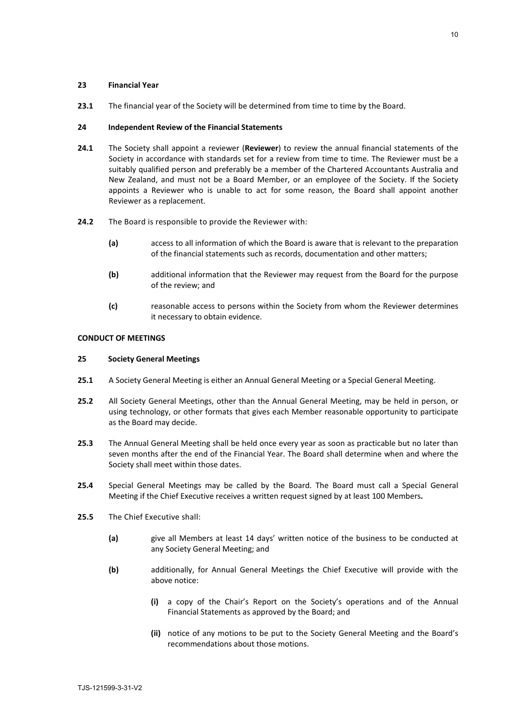## **23 Financial Year**

**23.1** The financial year of the Society will be determined from time to time by the Board.

# **24 Independent Review of the Financial Statements**

- **24.1** The Society shall appoint a reviewer (**Reviewer**) to review the annual financial statements of the Society in accordance with standards set for a review from time to time. The Reviewer must be a suitably qualified person and preferably be a member of the Chartered Accountants Australia and New Zealand, and must not be a Board Member, or an employee of the Society. If the Society appoints a Reviewer who is unable to act for some reason, the Board shall appoint another Reviewer as a replacement.
- **24.2** The Board is responsible to provide the Reviewer with:
	- **(a)** access to all information of which the Board is aware that is relevant to the preparation of the financial statements such as records, documentation and other matters;
	- **(b)** additional information that the Reviewer may request from the Board for the purpose of the review; and
	- **(c)** reasonable access to persons within the Society from whom the Reviewer determines it necessary to obtain evidence.

## **CONDUCT OF MEETINGS**

#### **25 Society General Meetings**

- **25.1** A Society General Meeting is either an Annual General Meeting or a Special General Meeting.
- **25.2** All Society General Meetings, other than the Annual General Meeting, may be held in person, or using technology, or other formats that gives each Member reasonable opportunity to participate as the Board may decide.
- **25.3** The Annual General Meeting shall be held once every year as soon as practicable but no later than seven months after the end of the Financial Year. The Board shall determine when and where the Society shall meet within those dates.
- **25.4** Special General Meetings may be called by the Board. The Board must call a Special General Meeting if the Chief Executive receives a written request signed by at least 100 Members**.**
- **25.5** The Chief Executive shall:
	- **(a)** give all Members at least 14 days' written notice of the business to be conducted at any Society General Meeting; and
	- **(b)** additionally, for Annual General Meetings the Chief Executive will provide with the above notice:
		- **(i)** a copy of the Chair's Report on the Society's operations and of the Annual Financial Statements as approved by the Board; and
		- **(ii)** notice of any motions to be put to the Society General Meeting and the Board's recommendations about those motions.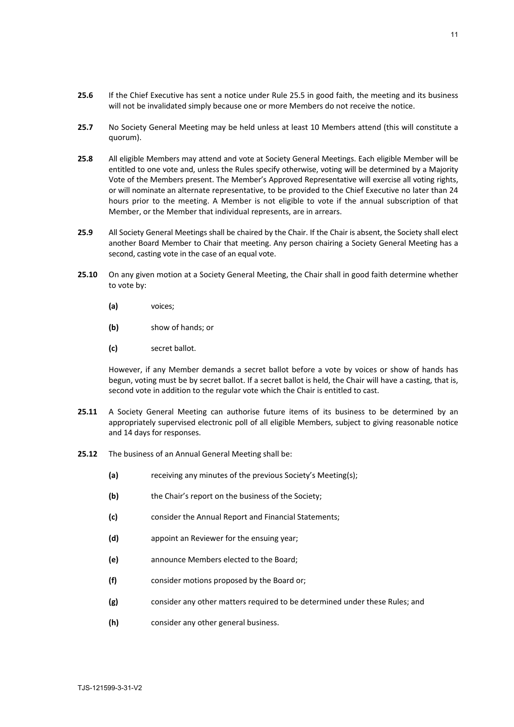- **25.6** If the Chief Executive has sent a notice under Rule 25.5 in good faith, the meeting and its business will not be invalidated simply because one or more Members do not receive the notice.
- **25.7** No Society General Meeting may be held unless at least 10 Members attend (this will constitute a quorum).
- **25.8** All eligible Members may attend and vote at Society General Meetings. Each eligible Member will be entitled to one vote and, unless the Rules specify otherwise, voting will be determined by a Majority Vote of the Members present. The Member's Approved Representative will exercise all voting rights, or will nominate an alternate representative, to be provided to the Chief Executive no later than 24 hours prior to the meeting. A Member is not eligible to vote if the annual subscription of that Member, or the Member that individual represents, are in arrears.
- **25.9** All Society General Meetings shall be chaired by the Chair. If the Chair is absent, the Society shall elect another Board Member to Chair that meeting. Any person chairing a Society General Meeting has a second, casting vote in the case of an equal vote.
- **25.10** On any given motion at a Society General Meeting, the Chair shall in good faith determine whether to vote by:
	- **(a)** voices;
	- **(b)** show of hands; or
	- **(c)** secret ballot.

However, if any Member demands a secret ballot before a vote by voices or show of hands has begun, voting must be by secret ballot. If a secret ballot is held, the Chair will have a casting, that is, second vote in addition to the regular vote which the Chair is entitled to cast.

- **25.11** A Society General Meeting can authorise future items of its business to be determined by an appropriately supervised electronic poll of all eligible Members, subject to giving reasonable notice and 14 days for responses.
- **25.12** The business of an Annual General Meeting shall be:
	- **(a)** receiving any minutes of the previous Society's Meeting(s);
	- **(b)** the Chair's report on the business of the Society;
	- **(c)** consider the Annual Report and Financial Statements;
	- **(d)** appoint an Reviewer for the ensuing year;
	- **(e)** announce Members elected to the Board;
	- **(f)** consider motions proposed by the Board or;
	- **(g)** consider any other matters required to be determined under these Rules; and
	- **(h)** consider any other general business.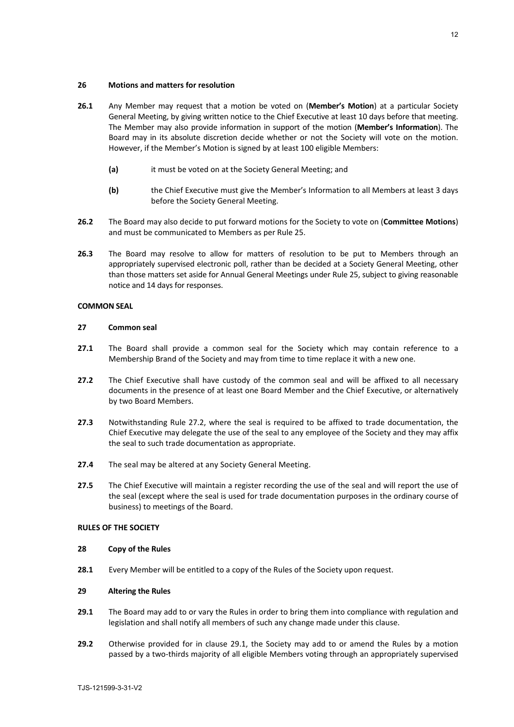- **26.1** Any Member may request that a motion be voted on (**Member's Motion**) at a particular Society General Meeting, by giving written notice to the Chief Executive at least 10 days before that meeting. The Member may also provide information in support of the motion (**Member's Information**). The Board may in its absolute discretion decide whether or not the Society will vote on the motion. However, if the Member's Motion is signed by at least 100 eligible Members:
	- **(a)** it must be voted on at the Society General Meeting; and
	- **(b)** the Chief Executive must give the Member's Information to all Members at least 3 days before the Society General Meeting.
- **26.2** The Board may also decide to put forward motions for the Society to vote on (**Committee Motions**) and must be communicated to Members as per Rule 25.
- **26.3** The Board may resolve to allow for matters of resolution to be put to Members through an appropriately supervised electronic poll, rather than be decided at a Society General Meeting, other than those matters set aside for Annual General Meetings under Rule 25, subject to giving reasonable notice and 14 days for responses.

# **COMMON SEAL**

## **27 Common seal**

- **27.1** The Board shall provide a common seal for the Society which may contain reference to a Membership Brand of the Society and may from time to time replace it with a new one.
- **27.2** The Chief Executive shall have custody of the common seal and will be affixed to all necessary documents in the presence of at least one Board Member and the Chief Executive, or alternatively by two Board Members.
- **27.3** Notwithstanding Rule 27.2, where the seal is required to be affixed to trade documentation, the Chief Executive may delegate the use of the seal to any employee of the Society and they may affix the seal to such trade documentation as appropriate.
- **27.4** The seal may be altered at any Society General Meeting.
- **27.5** The Chief Executive will maintain a register recording the use of the seal and will report the use of the seal (except where the seal is used for trade documentation purposes in the ordinary course of business) to meetings of the Board.

#### **RULES OF THE SOCIETY**

# **28 Copy of the Rules**

**28.1** Every Member will be entitled to a copy of the Rules of the Society upon request.

# **29 Altering the Rules**

- **29.1** The Board may add to or vary the Rules in order to bring them into compliance with regulation and legislation and shall notify all members of such any change made under this clause.
- **29.2** Otherwise provided for in clause 29.1, the Society may add to or amend the Rules by a motion passed by a two-thirds majority of all eligible Members voting through an appropriately supervised